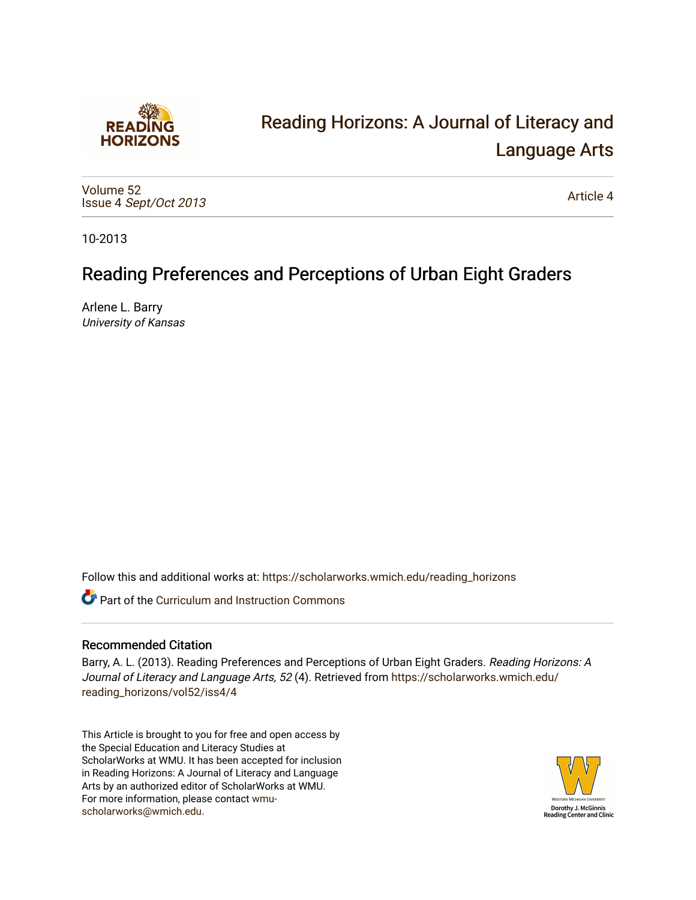

# [Reading Horizons: A Journal of Literacy and](https://scholarworks.wmich.edu/reading_horizons)  [Language Arts](https://scholarworks.wmich.edu/reading_horizons)

[Volume 52](https://scholarworks.wmich.edu/reading_horizons/vol52) Issue 4 [Sept/Oct 2013](https://scholarworks.wmich.edu/reading_horizons/vol52/iss4) 

[Article 4](https://scholarworks.wmich.edu/reading_horizons/vol52/iss4/4) 

10-2013

# Reading Preferences and Perceptions of Urban Eight Graders

Arlene L. Barry University of Kansas

Follow this and additional works at: [https://scholarworks.wmich.edu/reading\\_horizons](https://scholarworks.wmich.edu/reading_horizons?utm_source=scholarworks.wmich.edu%2Freading_horizons%2Fvol52%2Fiss4%2F4&utm_medium=PDF&utm_campaign=PDFCoverPages)

**C** Part of the Curriculum and Instruction Commons

### Recommended Citation

Barry, A. L. (2013). Reading Preferences and Perceptions of Urban Eight Graders. Reading Horizons: A Journal of Literacy and Language Arts, 52 (4). Retrieved from [https://scholarworks.wmich.edu/](https://scholarworks.wmich.edu/reading_horizons/vol52/iss4/4?utm_source=scholarworks.wmich.edu%2Freading_horizons%2Fvol52%2Fiss4%2F4&utm_medium=PDF&utm_campaign=PDFCoverPages) [reading\\_horizons/vol52/iss4/4](https://scholarworks.wmich.edu/reading_horizons/vol52/iss4/4?utm_source=scholarworks.wmich.edu%2Freading_horizons%2Fvol52%2Fiss4%2F4&utm_medium=PDF&utm_campaign=PDFCoverPages)

This Article is brought to you for free and open access by the Special Education and Literacy Studies at ScholarWorks at WMU. It has been accepted for inclusion in Reading Horizons: A Journal of Literacy and Language Arts by an authorized editor of ScholarWorks at WMU. For more information, please contact [wmu](mailto:wmu-scholarworks@wmich.edu)[scholarworks@wmich.edu.](mailto:wmu-scholarworks@wmich.edu)

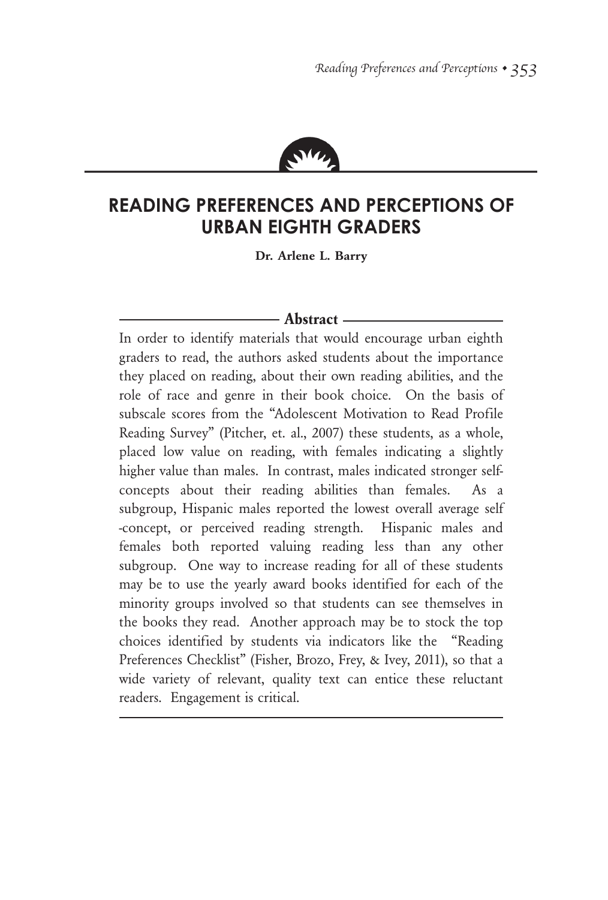

## **Reading Preferences and Perceptions of Urban Eighth Graders**

**Dr. Arlene L. Barry**

#### **Abstract**

In order to identify materials that would encourage urban eighth graders to read, the authors asked students about the importance they placed on reading, about their own reading abilities, and the role of race and genre in their book choice. On the basis of subscale scores from the "Adolescent Motivation to Read Profile Reading Survey" (Pitcher, et. al., 2007) these students, as a whole, placed low value on reading, with females indicating a slightly higher value than males. In contrast, males indicated stronger selfconcepts about their reading abilities than females. As a subgroup, Hispanic males reported the lowest overall average self -concept, or perceived reading strength. Hispanic males and females both reported valuing reading less than any other subgroup. One way to increase reading for all of these students may be to use the yearly award books identified for each of the minority groups involved so that students can see themselves in the books they read. Another approach may be to stock the top choices identified by students via indicators like the "Reading Preferences Checklist" (Fisher, Brozo, Frey, & Ivey, 2011), so that a wide variety of relevant, quality text can entice these reluctant readers. Engagement is critical.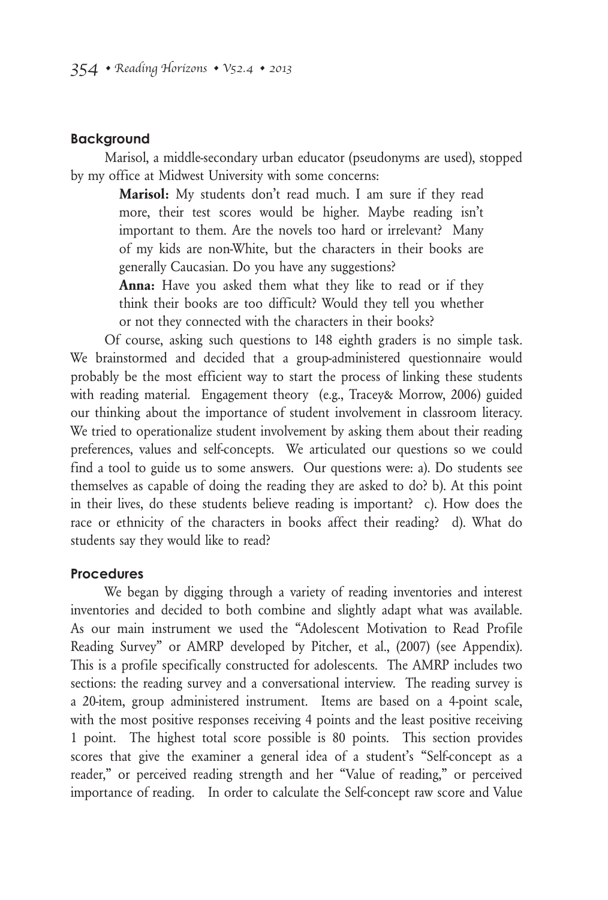#### **Background**

Marisol, a middle-secondary urban educator (pseudonyms are used), stopped by my office at Midwest University with some concerns:

> **Marisol:** My students don't read much. I am sure if they read more, their test scores would be higher. Maybe reading isn't important to them. Are the novels too hard or irrelevant? Many of my kids are non-White, but the characters in their books are generally Caucasian. Do you have any suggestions?

> **Anna:** Have you asked them what they like to read or if they think their books are too difficult? Would they tell you whether or not they connected with the characters in their books?

Of course, asking such questions to 148 eighth graders is no simple task. We brainstormed and decided that a group-administered questionnaire would probably be the most efficient way to start the process of linking these students with reading material. Engagement theory (e.g., Tracey& Morrow, 2006) guided our thinking about the importance of student involvement in classroom literacy. We tried to operationalize student involvement by asking them about their reading preferences, values and self-concepts. We articulated our questions so we could find a tool to guide us to some answers. Our questions were: a). Do students see themselves as capable of doing the reading they are asked to do? b). At this point in their lives, do these students believe reading is important? c). How does the race or ethnicity of the characters in books affect their reading? d). What do students say they would like to read?

#### **Procedures**

We began by digging through a variety of reading inventories and interest inventories and decided to both combine and slightly adapt what was available. As our main instrument we used the "Adolescent Motivation to Read Profile Reading Survey" or AMRP developed by Pitcher, et al., (2007) (see Appendix). This is a profile specifically constructed for adolescents. The AMRP includes two sections: the reading survey and a conversational interview. The reading survey is a 20-item, group administered instrument. Items are based on a 4-point scale, with the most positive responses receiving 4 points and the least positive receiving 1 point. The highest total score possible is 80 points. This section provides scores that give the examiner a general idea of a student's "Self-concept as a reader," or perceived reading strength and her "Value of reading," or perceived importance of reading. In order to calculate the Self-concept raw score and Value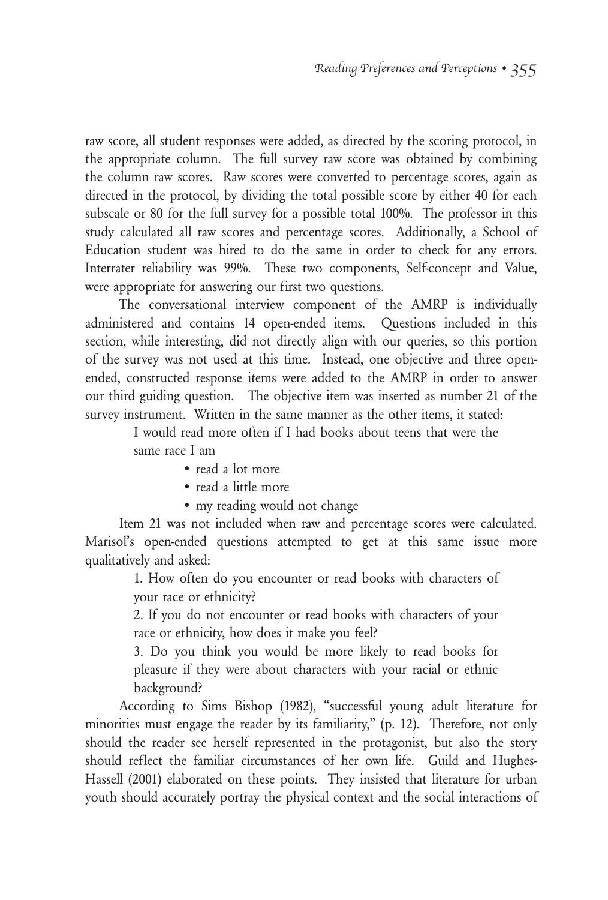raw score, all student responses were added, as directed by the scoring protocol, in the appropriate column. The full survey raw score was obtained by combining the column raw scores. Raw scores were converted to percentage scores, again as directed in the protocol, by dividing the total possible score by either 40 for each subscale or 80 for the full survey for a possible total 100%. The professor in this study calculated all raw scores and percentage scores. Additionally, a School of Education student was hired to do the same in order to check for any errors. Interrater reliability was 99%. These two components, Self-concept and Value, were appropriate for answering our first two questions.

The conversational interview component of the AMRP is individually administered and contains 14 open-ended items. Questions included in this section, while interesting, did not directly align with our queries, so this portion of the survey was not used at this time. Instead, one objective and three openended, constructed response items were added to the AMRP in order to answer our third guiding question. The objective item was inserted as number 21 of the survey instrument. Written in the same manner as the other items, it stated:

I would read more often if I had books about teens that were the same race I am

- read a lot more
- read a little more
- my reading would not change

Item 21 was not included when raw and percentage scores were calculated. Marisol's open-ended questions attempted to get at this same issue more qualitatively and asked:

> 1. How often do you encounter or read books with characters of your race or ethnicity?

> 2. If you do not encounter or read books with characters of your race or ethnicity, how does it make you feel?

> 3. Do you think you would be more likely to read books for pleasure if they were about characters with your racial or ethnic background?

According to Sims Bishop (1982), "successful young adult literature for minorities must engage the reader by its familiarity," (p. 12). Therefore, not only should the reader see herself represented in the protagonist, but also the story should reflect the familiar circumstances of her own life. Guild and Hughes-Hassell (2001) elaborated on these points. They insisted that literature for urban youth should accurately portray the physical context and the social interactions of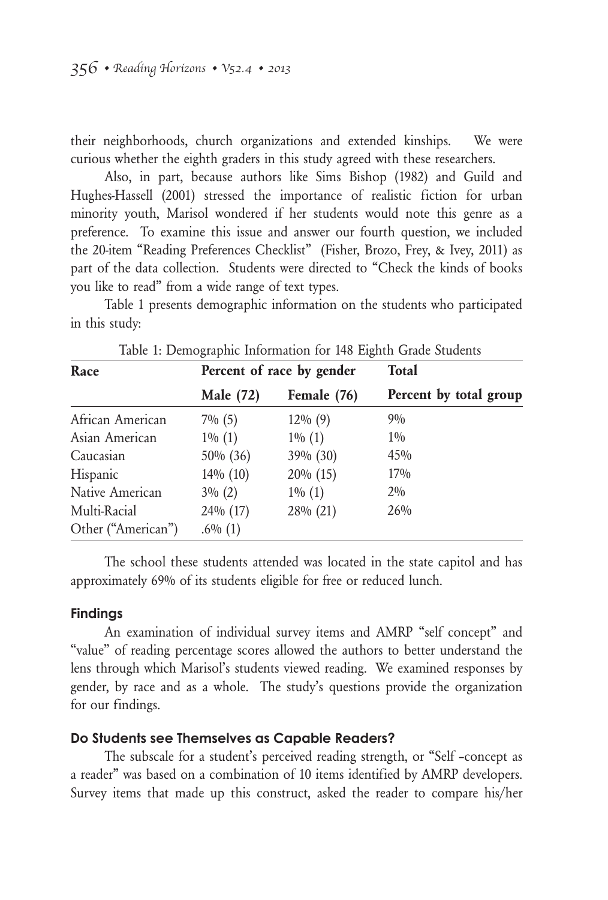their neighborhoods, church organizations and extended kinships. We were curious whether the eighth graders in this study agreed with these researchers.

Also, in part, because authors like Sims Bishop (1982) and Guild and Hughes-Hassell (2001) stressed the importance of realistic fiction for urban minority youth, Marisol wondered if her students would note this genre as a preference. To examine this issue and answer our fourth question, we included the 20-item "Reading Preferences Checklist" (Fisher, Brozo, Frey, & Ivey, 2011) as part of the data collection. Students were directed to "Check the kinds of books you like to read" from a wide range of text types.

Table 1 presents demographic information on the students who participated in this study:

| Race               |                  | Percent of race by gender | <b>Total</b>           |  |
|--------------------|------------------|---------------------------|------------------------|--|
|                    | <b>Male</b> (72) | Female (76)               | Percent by total group |  |
| African American   | $7\%$ (5)        | $12\%$ (9)                | 90/0                   |  |
| Asian American     | $1\%$ (1)        | $1\%$ (1)                 | $1\%$                  |  |
| Caucasian          | 50% (36)         | 39% (30)                  | 45%                    |  |
| Hispanic           | $14\%$ (10)      | $20\%$ (15)               | $17\%$                 |  |
| Native American    | $3\% (2)$        | $1\% (1)$                 | $2\%$                  |  |
| Multi-Racial       | 24% (17)         | 28% (21)                  | 26%                    |  |
| Other ("American") | $.6\%$ (1)       |                           |                        |  |

Table 1: Demographic Information for 148 Eighth Grade Students

The school these students attended was located in the state capitol and has approximately 69% of its students eligible for free or reduced lunch.

#### **Findings**

An examination of individual survey items and AMRP "self concept" and "value" of reading percentage scores allowed the authors to better understand the lens through which Marisol's students viewed reading. We examined responses by gender, by race and as a whole. The study's questions provide the organization for our findings.

#### **Do Students see Themselves as Capable Readers?**

The subscale for a student's perceived reading strength, or "Self –concept as a reader" was based on a combination of 10 items identified by AMRP developers. Survey items that made up this construct, asked the reader to compare his/her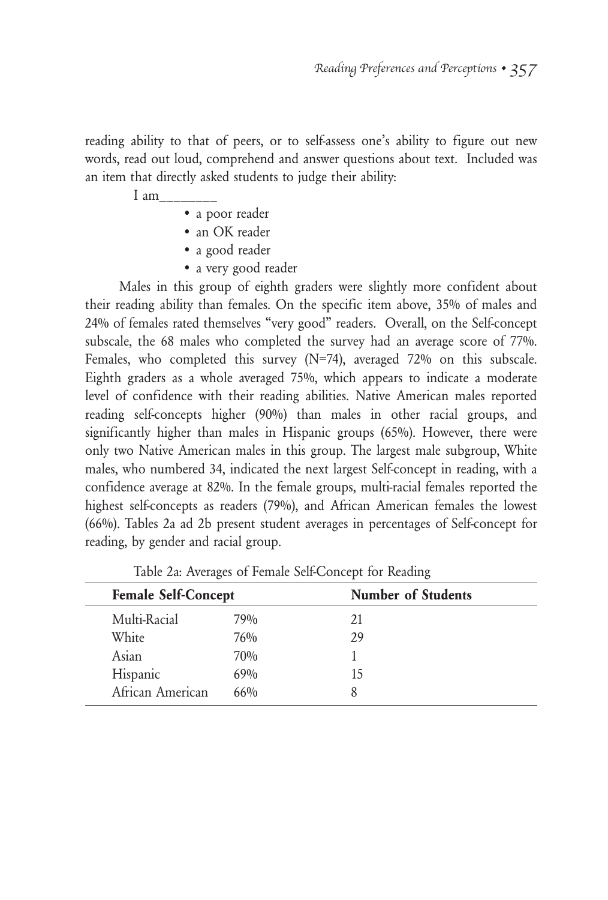reading ability to that of peers, or to self-assess one's ability to figure out new words, read out loud, comprehend and answer questions about text. Included was an item that directly asked students to judge their ability:

I am

- a poor reader
- an OK reader
- a good reader
- a very good reader

Males in this group of eighth graders were slightly more confident about their reading ability than females. On the specific item above, 35% of males and 24% of females rated themselves "very good" readers. Overall, on the Self-concept subscale, the 68 males who completed the survey had an average score of 77%. Females, who completed this survey (N=74), averaged 72% on this subscale. Eighth graders as a whole averaged 75%, which appears to indicate a moderate level of confidence with their reading abilities. Native American males reported reading self-concepts higher (90%) than males in other racial groups, and significantly higher than males in Hispanic groups (65%). However, there were only two Native American males in this group. The largest male subgroup, White males, who numbered 34, indicated the next largest Self-concept in reading, with a confidence average at 82%. In the female groups, multi-racial females reported the highest self-concepts as readers (79%), and African American females the lowest (66%). Tables 2a ad 2b present student averages in percentages of Self-concept for reading, by gender and racial group.

| <b>Female Self-Concept</b> |     | <b>Number of Students</b> |  |
|----------------------------|-----|---------------------------|--|
| Multi-Racial               | 79% | 21                        |  |
| White                      | 76% | 29                        |  |
| Asian                      | 70% |                           |  |
| Hispanic                   | 69% | 15                        |  |
| African American           | 66% | 8                         |  |

Table 2a: Averages of Female Self-Concept for Reading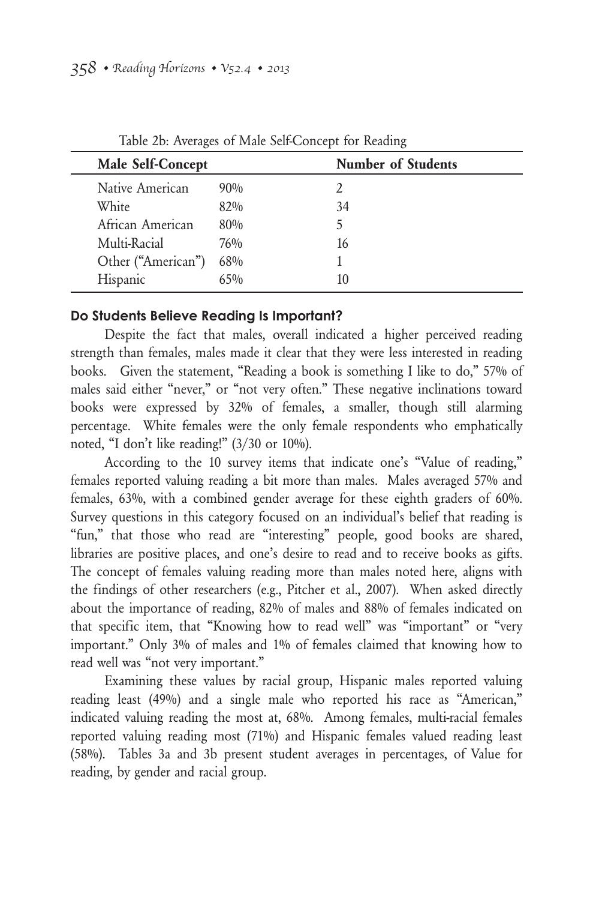| Male Self-Concept  |        | <b>Number of Students</b> |
|--------------------|--------|---------------------------|
| Native American    | $90\%$ |                           |
| White              | 82%    | 34                        |
| African American   | 80%    | 5                         |
| Multi-Racial       | 76%    | 16                        |
| Other ("American") | 68%    |                           |
| Hispanic           | $65\%$ | 10                        |

Table 2b: Averages of Male Self-Concept for Reading

#### **Do Students Believe Reading Is Important?**

Despite the fact that males, overall indicated a higher perceived reading strength than females, males made it clear that they were less interested in reading books. Given the statement, "Reading a book is something I like to do," 57% of males said either "never," or "not very often." These negative inclinations toward books were expressed by 32% of females, a smaller, though still alarming percentage. White females were the only female respondents who emphatically noted, "I don't like reading!" (3/30 or 10%).

According to the 10 survey items that indicate one's "Value of reading," females reported valuing reading a bit more than males. Males averaged 57% and females, 63%, with a combined gender average for these eighth graders of 60%. Survey questions in this category focused on an individual's belief that reading is "fun," that those who read are "interesting" people, good books are shared, libraries are positive places, and one's desire to read and to receive books as gifts. The concept of females valuing reading more than males noted here, aligns with the findings of other researchers (e.g., Pitcher et al., 2007). When asked directly about the importance of reading, 82% of males and 88% of females indicated on that specific item, that "Knowing how to read well" was "important" or "very important." Only 3% of males and 1% of females claimed that knowing how to read well was "not very important."

Examining these values by racial group, Hispanic males reported valuing reading least (49%) and a single male who reported his race as "American," indicated valuing reading the most at, 68%. Among females, multi-racial females reported valuing reading most (71%) and Hispanic females valued reading least (58%). Tables 3a and 3b present student averages in percentages, of Value for reading, by gender and racial group.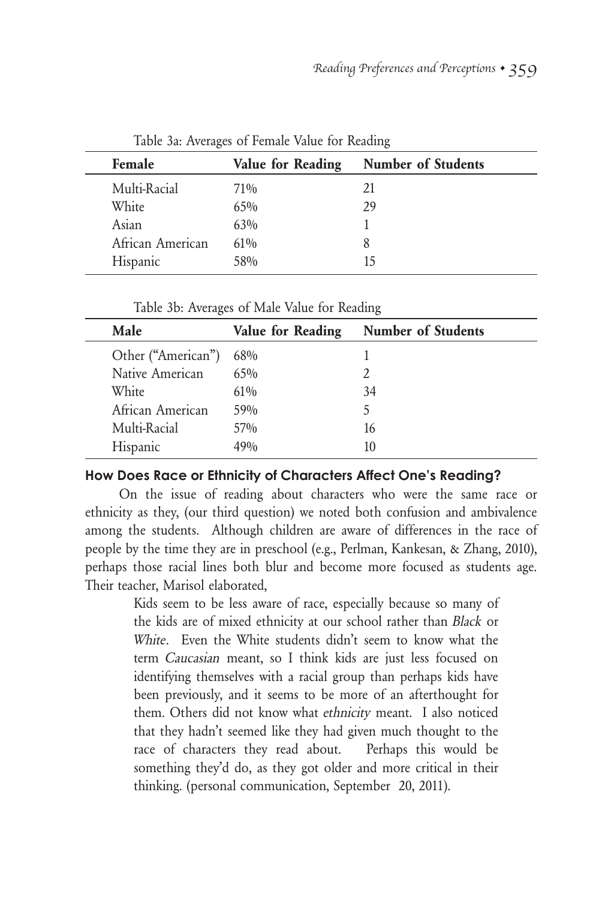| Female           | Value for Reading | <b>Number of Students</b> |
|------------------|-------------------|---------------------------|
| Multi-Racial     | $71\%$            | 21                        |
| White            | $65\%$            | 29                        |
| Asian            | $63\%$            |                           |
| African American | $61\%$            | 8                         |
| Hispanic         | 58%               | ר ו                       |

Table 3a: Averages of Female Value for Reading

Table 3b: Averages of Male Value for Reading

| Value for Reading | <b>Number of Students</b> |
|-------------------|---------------------------|
| 68%               |                           |
| $65\%$            |                           |
| $61\%$            | 34                        |
| 59%               | 5                         |
| $57\%$            | 16                        |
| 190/ <sub>0</sub> | 10                        |
|                   |                           |

#### **How Does Race or Ethnicity of Characters Affect One's Reading?**

On the issue of reading about characters who were the same race or ethnicity as they, (our third question) we noted both confusion and ambivalence among the students. Although children are aware of differences in the race of people by the time they are in preschool (e.g., Perlman, Kankesan, & Zhang, 2010), perhaps those racial lines both blur and become more focused as students age. Their teacher, Marisol elaborated,

> Kids seem to be less aware of race, especially because so many of the kids are of mixed ethnicity at our school rather than Black or White. Even the White students didn't seem to know what the term Caucasian meant, so I think kids are just less focused on identifying themselves with a racial group than perhaps kids have been previously, and it seems to be more of an afterthought for them. Others did not know what ethnicity meant. I also noticed that they hadn't seemed like they had given much thought to the race of characters they read about. Perhaps this would be something they'd do, as they got older and more critical in their thinking. (personal communication, September 20, 2011).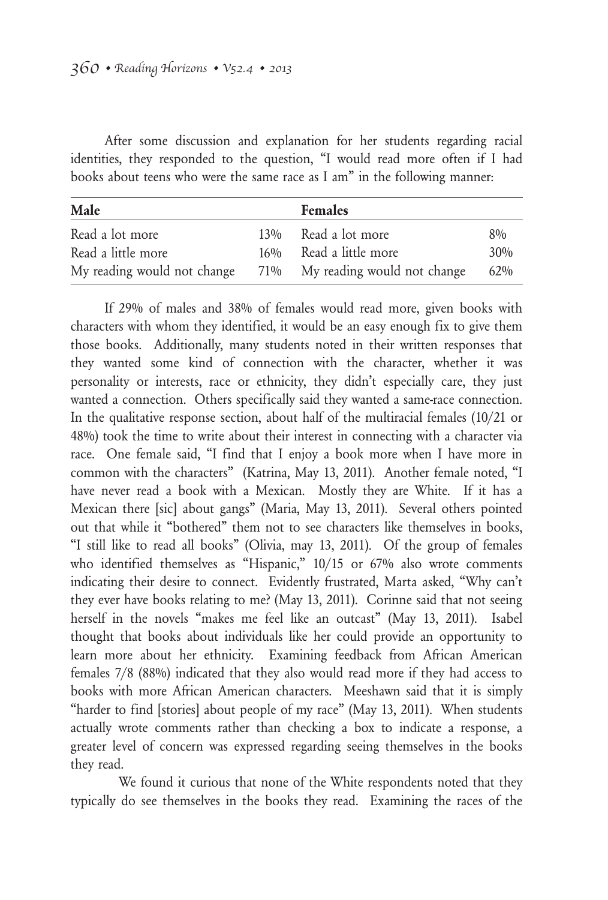After some discussion and explanation for her students regarding racial identities, they responded to the question, "I would read more often if I had books about teens who were the same race as I am" in the following manner:

| Male                        | <b>Females</b>                  |       |
|-----------------------------|---------------------------------|-------|
| Read a lot more             | 13% Read a lot more             | $8\%$ |
| Read a little more          | 16% Read a little more          | 30%   |
| My reading would not change | 71% My reading would not change | 62%   |

If 29% of males and 38% of females would read more, given books with characters with whom they identified, it would be an easy enough fix to give them those books. Additionally, many students noted in their written responses that they wanted some kind of connection with the character, whether it was personality or interests, race or ethnicity, they didn't especially care, they just wanted a connection. Others specifically said they wanted a same-race connection. In the qualitative response section, about half of the multiracial females (10/21 or 48%) took the time to write about their interest in connecting with a character via race. One female said, "I find that I enjoy a book more when I have more in common with the characters" (Katrina, May 13, 2011). Another female noted, "I have never read a book with a Mexican. Mostly they are White. If it has a Mexican there [sic] about gangs" (Maria, May 13, 2011). Several others pointed out that while it "bothered" them not to see characters like themselves in books, "I still like to read all books" (Olivia, may 13, 2011). Of the group of females who identified themselves as "Hispanic," 10/15 or 67% also wrote comments indicating their desire to connect. Evidently frustrated, Marta asked, "Why can't they ever have books relating to me? (May 13, 2011). Corinne said that not seeing herself in the novels "makes me feel like an outcast" (May 13, 2011). Isabel thought that books about individuals like her could provide an opportunity to learn more about her ethnicity. Examining feedback from African American females 7/8 (88%) indicated that they also would read more if they had access to books with more African American characters. Meeshawn said that it is simply "harder to find [stories] about people of my race" (May 13, 2011). When students actually wrote comments rather than checking a box to indicate a response, a greater level of concern was expressed regarding seeing themselves in the books they read.

We found it curious that none of the White respondents noted that they typically do see themselves in the books they read. Examining the races of the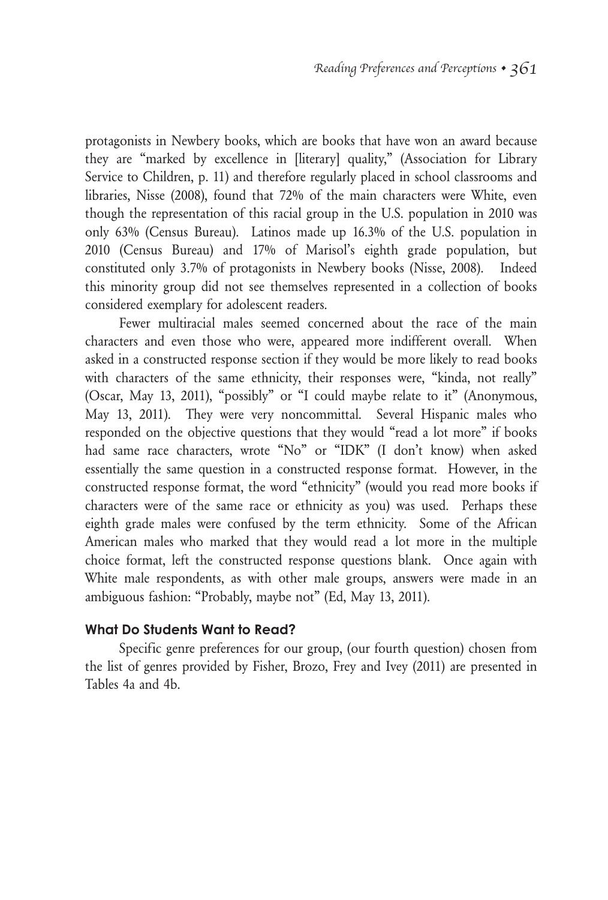protagonists in Newbery books, which are books that have won an award because they are "marked by excellence in [literary] quality," (Association for Library Service to Children, p. 11) and therefore regularly placed in school classrooms and libraries, Nisse (2008), found that 72% of the main characters were White, even though the representation of this racial group in the U.S. population in 2010 was only 63% (Census Bureau). Latinos made up 16.3% of the U.S. population in 2010 (Census Bureau) and 17% of Marisol's eighth grade population, but constituted only 3.7% of protagonists in Newbery books (Nisse, 2008). Indeed this minority group did not see themselves represented in a collection of books considered exemplary for adolescent readers.

Fewer multiracial males seemed concerned about the race of the main characters and even those who were, appeared more indifferent overall. When asked in a constructed response section if they would be more likely to read books with characters of the same ethnicity, their responses were, "kinda, not really" (Oscar, May 13, 2011), "possibly" or "I could maybe relate to it" (Anonymous, May 13, 2011). They were very noncommittal. Several Hispanic males who responded on the objective questions that they would "read a lot more" if books had same race characters, wrote "No" or "IDK" (I don't know) when asked essentially the same question in a constructed response format. However, in the constructed response format, the word "ethnicity" (would you read more books if characters were of the same race or ethnicity as you) was used. Perhaps these eighth grade males were confused by the term ethnicity. Some of the African American males who marked that they would read a lot more in the multiple choice format, left the constructed response questions blank. Once again with White male respondents, as with other male groups, answers were made in an ambiguous fashion: "Probably, maybe not" (Ed, May 13, 2011).

#### **What Do Students Want to Read?**

Specific genre preferences for our group, (our fourth question) chosen from the list of genres provided by Fisher, Brozo, Frey and Ivey (2011) are presented in Tables 4a and 4b.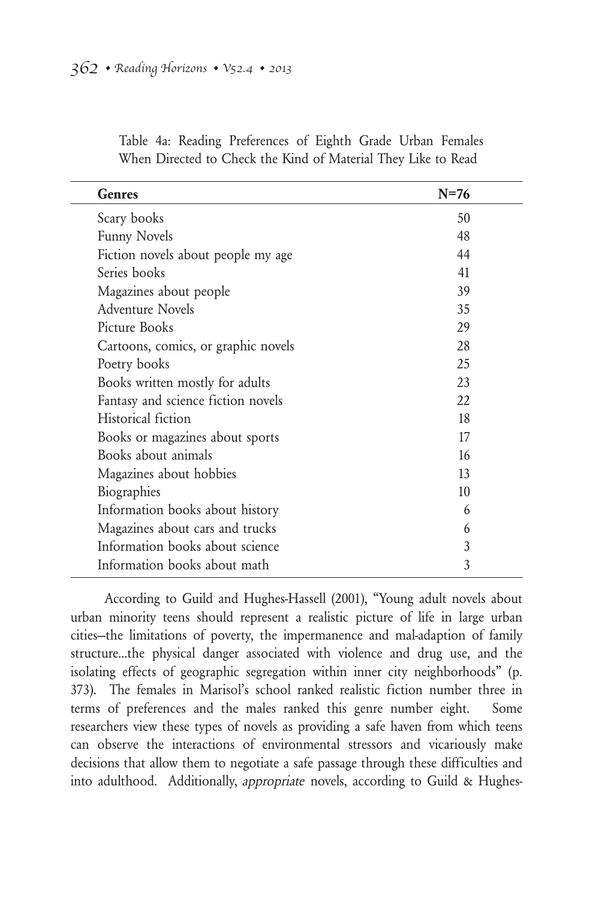| <b>Genres</b>                       | $N=76$ |  |
|-------------------------------------|--------|--|
| Scary books                         | 50     |  |
| <b>Funny Novels</b>                 | 48     |  |
| Fiction novels about people my age  | 44     |  |
| Series books                        | 41     |  |
| Magazines about people              | 39     |  |
| <b>Adventure Novels</b>             | 35     |  |
| Picture Books                       | 29     |  |
| Cartoons, comics, or graphic novels | 28     |  |
| Poetry books                        | 25     |  |
| Books written mostly for adults     | 23     |  |
| Fantasy and science fiction novels  | 22.    |  |
| Historical fiction                  | 18     |  |
| Books or magazines about sports     | 17     |  |
| Books about animals                 | 16     |  |
| Magazines about hobbies             | 13     |  |
| Biographies                         | 10     |  |
| Information books about history     | 6      |  |
| Magazines about cars and trucks     | 6      |  |
| Information books about science     | 3      |  |
| Information books about math        | 3      |  |

Table 4a: Reading Preferences of Eighth Grade Urban Females When Directed to Check the Kind of Material They Like to Read

According to Guild and Hughes-Hassell (2001), "Young adult novels about urban minority teens should represent a realistic picture of life in large urban cities—the limitations of poverty, the impermanence and mal-adaption of family structure…the physical danger associated with violence and drug use, and the isolating effects of geographic segregation within inner city neighborhoods" (p. 373). The females in Marisol's school ranked realistic fiction number three in terms of preferences and the males ranked this genre number eight. Some researchers view these types of novels as providing a safe haven from which teens can observe the interactions of environmental stressors and vicariously make decisions that allow them to negotiate a safe passage through these difficulties and into adulthood. Additionally, appropriate novels, according to Guild & Hughes-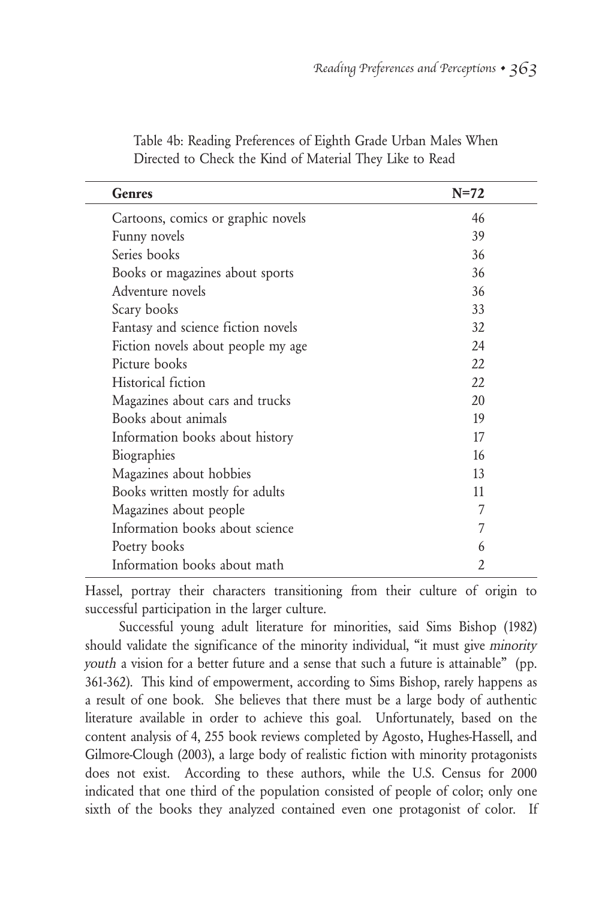| Genres                             | $N=72$         |
|------------------------------------|----------------|
| Cartoons, comics or graphic novels | 46             |
| Funny novels                       | 39             |
| Series books                       | 36             |
| Books or magazines about sports    | 36             |
| Adventure novels                   | 36             |
| Scary books                        | 33             |
| Fantasy and science fiction novels | 32             |
| Fiction novels about people my age | 24             |
| Picture books                      | 22             |
| Historical fiction                 | 22.            |
| Magazines about cars and trucks    | 20             |
| Books about animals                | 19             |
| Information books about history    | 17             |
| Biographies                        | 16             |
| Magazines about hobbies            | 13             |
| Books written mostly for adults    | 11             |
| Magazines about people             | 7              |
| Information books about science    | 7              |
| Poetry books                       | 6              |
| Information books about math       | $\mathfrak{D}$ |

Table 4b: Reading Preferences of Eighth Grade Urban Males When Directed to Check the Kind of Material They Like to Read

Hassel, portray their characters transitioning from their culture of origin to successful participation in the larger culture.

Successful young adult literature for minorities, said Sims Bishop (1982) should validate the significance of the minority individual, "it must give minority youth a vision for a better future and a sense that such a future is attainable" (pp. 361-362). This kind of empowerment, according to Sims Bishop, rarely happens as a result of one book. She believes that there must be a large body of authentic literature available in order to achieve this goal. Unfortunately, based on the content analysis of 4, 255 book reviews completed by Agosto, Hughes-Hassell, and Gilmore-Clough (2003), a large body of realistic fiction with minority protagonists does not exist. According to these authors, while the U.S. Census for 2000 indicated that one third of the population consisted of people of color; only one sixth of the books they analyzed contained even one protagonist of color. If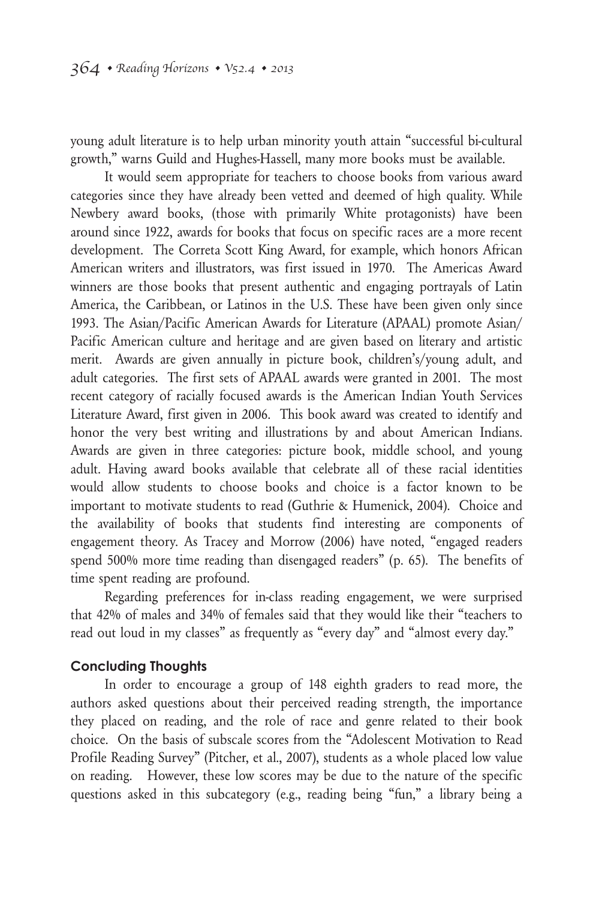young adult literature is to help urban minority youth attain "successful bi-cultural growth," warns Guild and Hughes-Hassell, many more books must be available.

It would seem appropriate for teachers to choose books from various award categories since they have already been vetted and deemed of high quality. While Newbery award books, (those with primarily White protagonists) have been around since 1922, awards for books that focus on specific races are a more recent development. The Correta Scott King Award, for example, which honors African American writers and illustrators, was first issued in 1970. The Americas Award winners are those books that present authentic and engaging portrayals of Latin America, the Caribbean, or Latinos in the U.S. These have been given only since 1993. The Asian/Pacific American Awards for Literature (APAAL) promote Asian/ Pacific American culture and heritage and are given based on literary and artistic merit. Awards are given annually in picture book, children's/young adult, and adult categories. The first sets of APAAL awards were granted in 2001. The most recent category of racially focused awards is the American Indian Youth Services Literature Award, first given in 2006. This book award was created to identify and honor the very best writing and illustrations by and about American Indians. Awards are given in three categories: picture book, middle school, and young adult. Having award books available that celebrate all of these racial identities would allow students to choose books and choice is a factor known to be important to motivate students to read (Guthrie & Humenick, 2004). Choice and the availability of books that students find interesting are components of engagement theory. As Tracey and Morrow (2006) have noted, "engaged readers spend 500% more time reading than disengaged readers" (p. 65). The benefits of time spent reading are profound.

Regarding preferences for in-class reading engagement, we were surprised that 42% of males and 34% of females said that they would like their "teachers to read out loud in my classes" as frequently as "every day" and "almost every day."

#### **Concluding Thoughts**

In order to encourage a group of 148 eighth graders to read more, the authors asked questions about their perceived reading strength, the importance they placed on reading, and the role of race and genre related to their book choice. On the basis of subscale scores from the "Adolescent Motivation to Read Profile Reading Survey" (Pitcher, et al., 2007), students as a whole placed low value on reading. However, these low scores may be due to the nature of the specific questions asked in this subcategory (e.g., reading being "fun," a library being a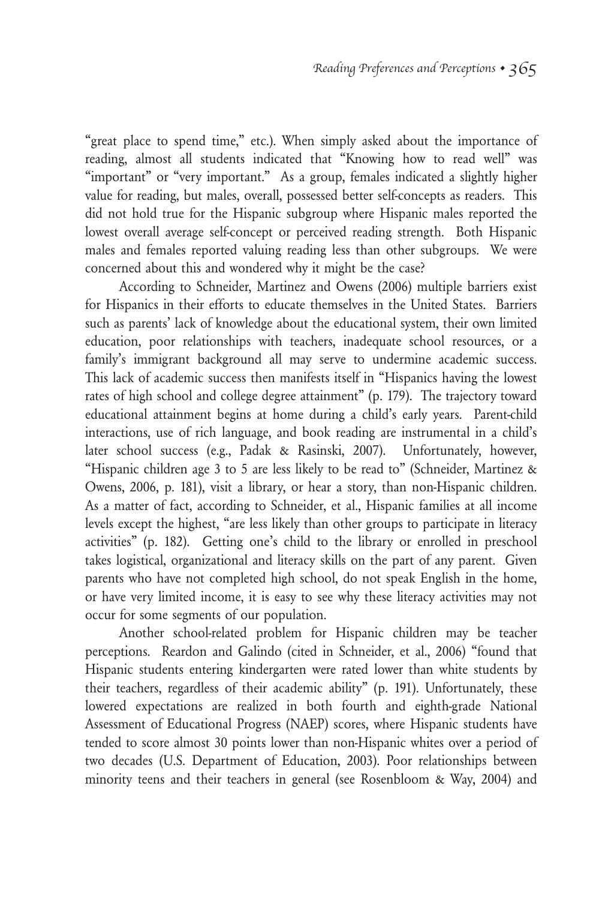"great place to spend time," etc.). When simply asked about the importance of reading, almost all students indicated that "Knowing how to read well" was "important" or "very important." As a group, females indicated a slightly higher value for reading, but males, overall, possessed better self-concepts as readers. This did not hold true for the Hispanic subgroup where Hispanic males reported the lowest overall average self-concept or perceived reading strength. Both Hispanic males and females reported valuing reading less than other subgroups. We were concerned about this and wondered why it might be the case?

According to Schneider, Martinez and Owens (2006) multiple barriers exist for Hispanics in their efforts to educate themselves in the United States. Barriers such as parents' lack of knowledge about the educational system, their own limited education, poor relationships with teachers, inadequate school resources, or a family's immigrant background all may serve to undermine academic success. This lack of academic success then manifests itself in "Hispanics having the lowest rates of high school and college degree attainment" (p. 179). The trajectory toward educational attainment begins at home during a child's early years. Parent-child interactions, use of rich language, and book reading are instrumental in a child's later school success (e.g., Padak & Rasinski, 2007). Unfortunately, however, "Hispanic children age 3 to 5 are less likely to be read to" (Schneider, Martinez & Owens, 2006, p. 181), visit a library, or hear a story, than non-Hispanic children. As a matter of fact, according to Schneider, et al., Hispanic families at all income levels except the highest, "are less likely than other groups to participate in literacy activities" (p. 182). Getting one's child to the library or enrolled in preschool takes logistical, organizational and literacy skills on the part of any parent. Given parents who have not completed high school, do not speak English in the home, or have very limited income, it is easy to see why these literacy activities may not occur for some segments of our population.

Another school-related problem for Hispanic children may be teacher perceptions. Reardon and Galindo (cited in Schneider, et al., 2006) "found that Hispanic students entering kindergarten were rated lower than white students by their teachers, regardless of their academic ability" (p. 191). Unfortunately, these lowered expectations are realized in both fourth and eighth-grade National Assessment of Educational Progress (NAEP) scores, where Hispanic students have tended to score almost 30 points lower than non-Hispanic whites over a period of two decades (U.S. Department of Education, 2003). Poor relationships between minority teens and their teachers in general (see Rosenbloom & Way, 2004) and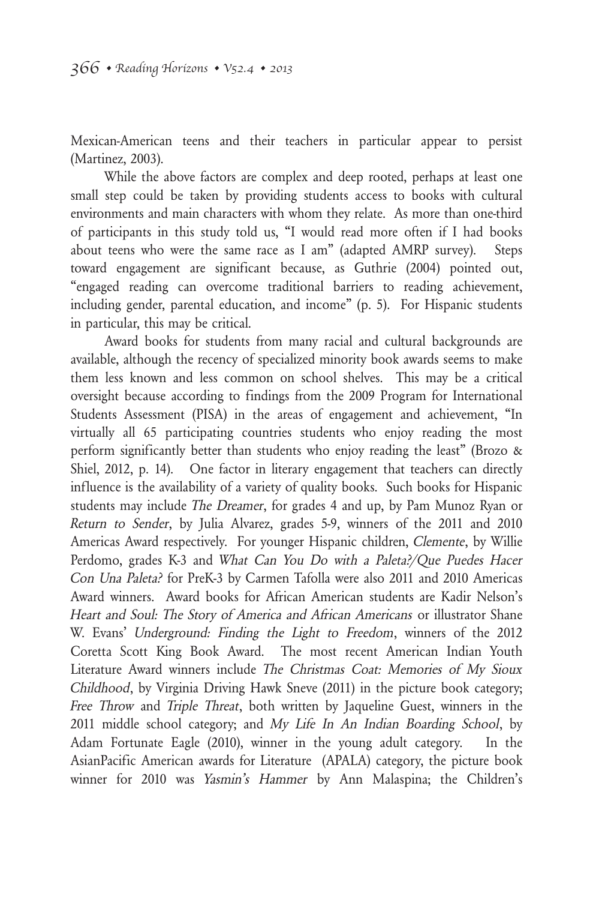Mexican-American teens and their teachers in particular appear to persist (Martinez, 2003).

While the above factors are complex and deep rooted, perhaps at least one small step could be taken by providing students access to books with cultural environments and main characters with whom they relate. As more than one-third of participants in this study told us, "I would read more often if I had books about teens who were the same race as I am" (adapted AMRP survey). Steps toward engagement are significant because, as Guthrie (2004) pointed out, "engaged reading can overcome traditional barriers to reading achievement, including gender, parental education, and income" (p. 5). For Hispanic students in particular, this may be critical.

Award books for students from many racial and cultural backgrounds are available, although the recency of specialized minority book awards seems to make them less known and less common on school shelves. This may be a critical oversight because according to findings from the 2009 Program for International Students Assessment (PISA) in the areas of engagement and achievement, "In virtually all 65 participating countries students who enjoy reading the most perform significantly better than students who enjoy reading the least" (Brozo & Shiel, 2012, p. 14). One factor in literary engagement that teachers can directly influence is the availability of a variety of quality books. Such books for Hispanic students may include The Dreamer, for grades 4 and up, by Pam Munoz Ryan or Return to Sender, by Julia Alvarez, grades 5-9, winners of the 2011 and 2010 Americas Award respectively. For younger Hispanic children, Clemente, by Willie Perdomo, grades K-3 and What Can You Do with a Paleta?/Que Puedes Hacer Con Una Paleta? for PreK-3 by Carmen Tafolla were also 2011 and 2010 Americas Award winners. Award books for African American students are Kadir Nelson's Heart and Soul: The Story of America and African Americans or illustrator Shane W. Evans' Underground: Finding the Light to Freedom, winners of the 2012 Coretta Scott King Book Award. The most recent American Indian Youth Literature Award winners include The Christmas Coat: Memories of My Sioux Childhood, by Virginia Driving Hawk Sneve (2011) in the picture book category; Free Throw and Triple Threat, both written by Jaqueline Guest, winners in the 2011 middle school category; and My Life In An Indian Boarding School, by Adam Fortunate Eagle (2010), winner in the young adult category. In the AsianPacific American awards for Literature (APALA) category, the picture book winner for 2010 was Yasmin's Hammer by Ann Malaspina; the Children's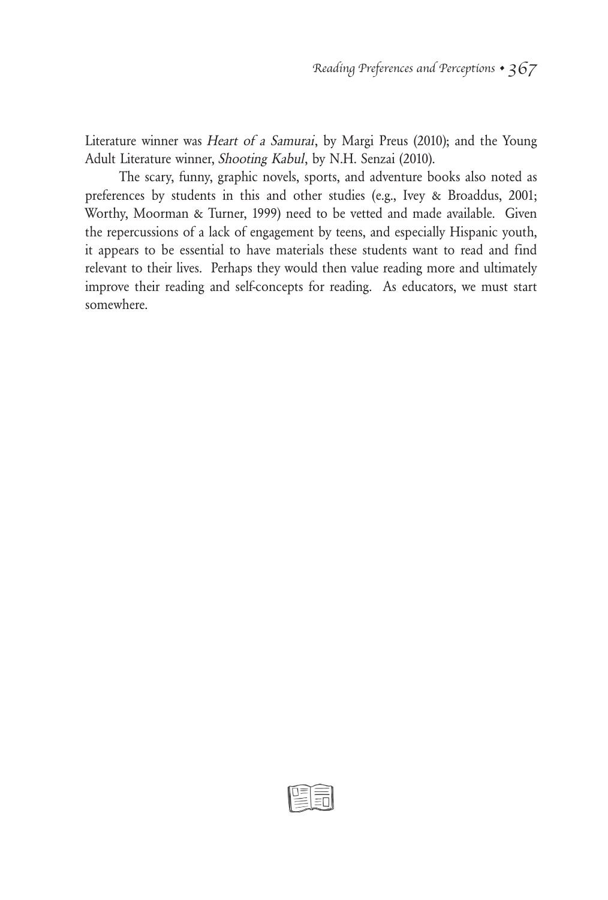Literature winner was Heart of a Samurai, by Margi Preus (2010); and the Young Adult Literature winner, Shooting Kabul, by N.H. Senzai (2010).

The scary, funny, graphic novels, sports, and adventure books also noted as preferences by students in this and other studies (e.g., Ivey & Broaddus, 2001; Worthy, Moorman & Turner, 1999) need to be vetted and made available. Given the repercussions of a lack of engagement by teens, and especially Hispanic youth, it appears to be essential to have materials these students want to read and find relevant to their lives. Perhaps they would then value reading more and ultimately improve their reading and self-concepts for reading. As educators, we must start somewhere.

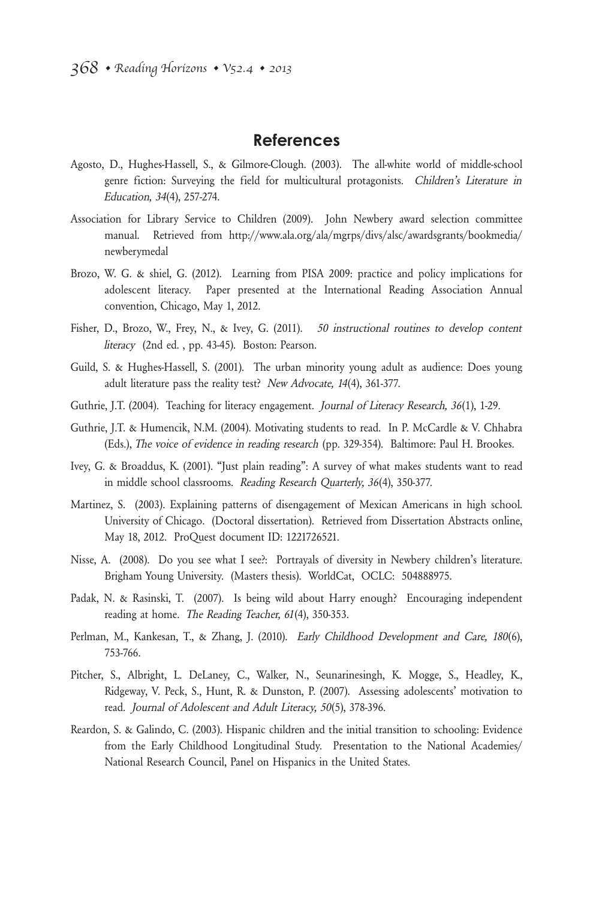#### **References**

- Agosto, D., Hughes-Hassell, S., & Gilmore-Clough. (2003). The all-white world of middle-school genre fiction: Surveying the field for multicultural protagonists. Children's Literature in Education, 34(4), 257-274.
- Association for Library Service to Children (2009). John Newbery award selection committee manual. Retrieved from http://www.ala.org/ala/mgrps/divs/alsc/awardsgrants/bookmedia/ newberymedal
- Brozo, W. G. & shiel, G. (2012). Learning from PISA 2009: practice and policy implications for adolescent literacy. Paper presented at the International Reading Association Annual convention, Chicago, May 1, 2012.
- Fisher, D., Brozo, W., Frey, N., & Ivey, G. (2011). 50 instructional routines to develop content literacy (2nd ed. , pp. 43-45). Boston: Pearson.
- Guild, S. & Hughes-Hassell, S. (2001). The urban minority young adult as audience: Does young adult literature pass the reality test? New Advocate, 14(4), 361-377.
- Guthrie, J.T. (2004). Teaching for literacy engagement. Journal of Literacy Research, 36(1), 1-29.
- Guthrie, J.T. & Humencik, N.M. (2004). Motivating students to read. In P. McCardle & V. Chhabra (Eds.), The voice of evidence in reading research (pp. 329-354). Baltimore: Paul H. Brookes.
- Ivey, G. & Broaddus, K. (2001). "Just plain reading": A survey of what makes students want to read in middle school classrooms. Reading Research Quarterly, 36(4), 350-377.
- Martinez, S. (2003). Explaining patterns of disengagement of Mexican Americans in high school. University of Chicago. (Doctoral dissertation). Retrieved from Dissertation Abstracts online, May 18, 2012. ProQuest document ID: 1221726521.
- Nisse, A. (2008). Do you see what I see?: Portrayals of diversity in Newbery children's literature. Brigham Young University. (Masters thesis). WorldCat, OCLC: 504888975.
- Padak, N. & Rasinski, T. (2007). Is being wild about Harry enough? Encouraging independent reading at home. The Reading Teacher, 61(4), 350-353.
- Perlman, M., Kankesan, T., & Zhang, J. (2010). Early Childhood Development and Care, 180(6), 753-766.
- Pitcher, S., Albright, L. DeLaney, C., Walker, N., Seunarinesingh, K. Mogge, S., Headley, K., Ridgeway, V. Peck, S., Hunt, R. & Dunston, P. (2007). Assessing adolescents' motivation to read. Journal of Adolescent and Adult Literacy, 50(5), 378-396.
- Reardon, S. & Galindo, C. (2003). Hispanic children and the initial transition to schooling: Evidence from the Early Childhood Longitudinal Study. Presentation to the National Academies/ National Research Council, Panel on Hispanics in the United States.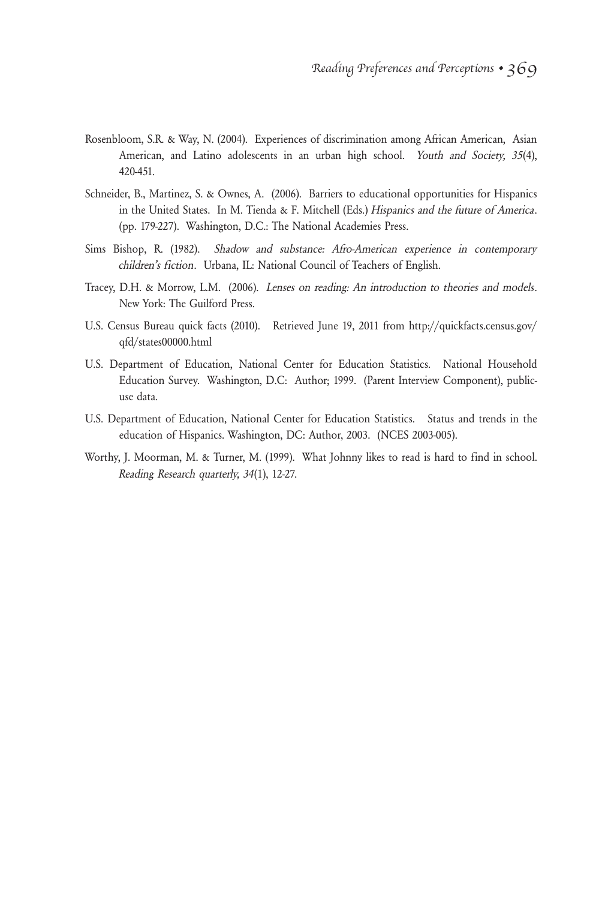- Rosenbloom, S.R. & Way, N. (2004). Experiences of discrimination among African American, Asian American, and Latino adolescents in an urban high school. Youth and Society, 35(4), 420-451.
- Schneider, B., Martinez, S. & Ownes, A. (2006). Barriers to educational opportunities for Hispanics in the United States. In M. Tienda & F. Mitchell (Eds.) Hispanics and the future of America. (pp. 179-227). Washington, D.C.: The National Academies Press.
- Sims Bishop, R. (1982). Shadow and substance: Afro-American experience in contemporary children's fiction. Urbana, IL: National Council of Teachers of English.
- Tracey, D.H. & Morrow, L.M. (2006). Lenses on reading: An introduction to theories and models. New York: The Guilford Press.
- U.S. Census Bureau quick facts (2010). Retrieved June 19, 2011 from http://quickfacts.census.gov/ qfd/states00000.html
- U.S. Department of Education, National Center for Education Statistics. National Household Education Survey. Washington, D.C: Author; 1999. (Parent Interview Component), publicuse data.
- U.S. Department of Education, National Center for Education Statistics. Status and trends in the education of Hispanics. Washington, DC: Author, 2003. (NCES 2003-005).
- Worthy, J. Moorman, M. & Turner, M. (1999). What Johnny likes to read is hard to find in school. Reading Research quarterly, 34(1), 12-27.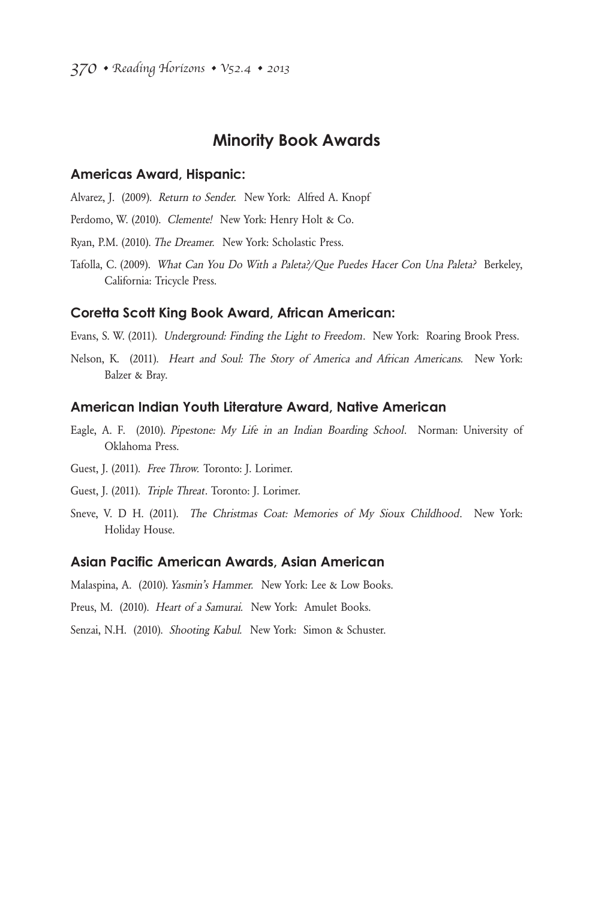### **Minority Book Awards**

#### **Americas Award, Hispanic:**

- Alvarez, J. (2009). Return to Sender. New York: Alfred A. Knopf
- Perdomo, W. (2010). Clemente! New York: Henry Holt & Co.
- Ryan, P.M. (2010). The Dreamer. New York: Scholastic Press.
- Tafolla, C. (2009). What Can You Do With a Paleta?/Que Puedes Hacer Con Una Paleta? Berkeley, California: Tricycle Press.

#### **Coretta Scott King Book Award, African American:**

Evans, S. W. (2011). Underground: Finding the Light to Freedom. New York: Roaring Brook Press.

Nelson, K. (2011). Heart and Soul: The Story of America and African Americans. New York: Balzer & Bray.

#### **American Indian Youth Literature Award, Native American**

- Eagle, A. F. (2010). Pipestone: My Life in an Indian Boarding School. Norman: University of Oklahoma Press.
- Guest, J. (2011). Free Throw. Toronto: J. Lorimer.
- Guest, J. (2011). Triple Threat. Toronto: J. Lorimer.
- Sneve, V. D H. (2011). The Christmas Coat: Memories of My Sioux Childhood. New York: Holiday House.

#### **Asian Pacific American Awards, Asian American**

Malaspina, A. (2010). Yasmin's Hammer. New York: Lee & Low Books.

Preus, M. (2010). Heart of a Samurai. New York: Amulet Books.

Senzai, N.H. (2010). Shooting Kabul. New York: Simon & Schuster.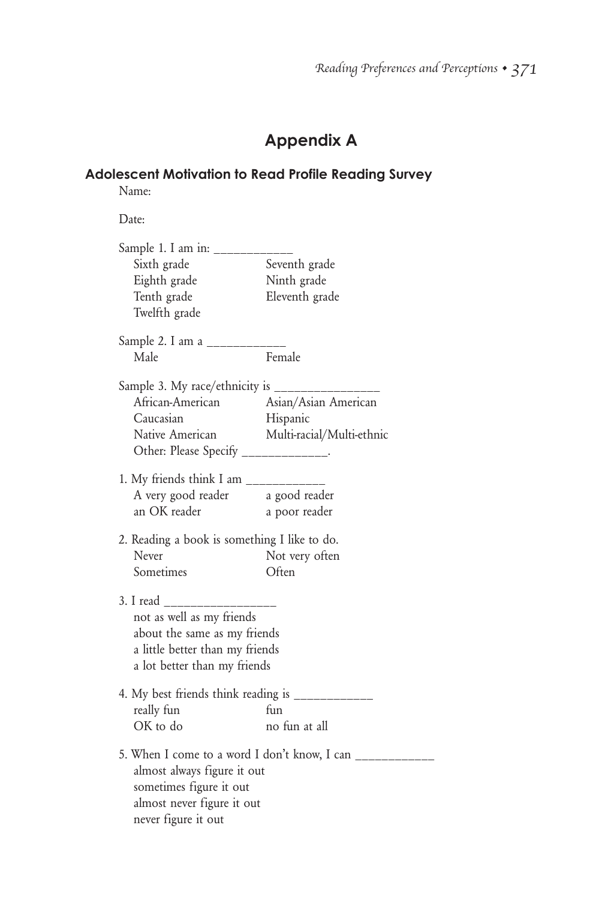# **Appendix A**

## **Adolescent Motivation to Read Profile Reading Survey**

Name:

Date:

| Sample 1. I am in: ________<br>Sixth grade<br>Eighth grade<br>Tenth grade<br>Twelfth grade                                                             | Seventh grade<br>Ninth grade<br>Eleventh grade         |
|--------------------------------------------------------------------------------------------------------------------------------------------------------|--------------------------------------------------------|
| Sample 2. I am a ________<br>Male                                                                                                                      | Female                                                 |
| Sample 3. My race/ethnicity is __________<br>African-American Asian/Asian American<br>Caucasian<br>Other: Please Specify _____________.                | Hispanic<br>Native American Multi-racial/Multi-ethnic  |
| 1. My friends think I am _____________<br>A very good reader a good reader<br>an OK reader                                                             | a poor reader                                          |
| 2. Reading a book is something I like to do.<br>Never<br>Sometimes                                                                                     | Not very often<br>Often                                |
| 3. I read ____________<br>not as well as my friends<br>about the same as my friends<br>a little better than my friends<br>a lot better than my friends |                                                        |
| 4. My best friends think reading is ____________<br>really fun<br>OK to do                                                                             | fun<br>no fun at all                                   |
| almost always figure it out<br>sometimes figure it out<br>almost never figure it out<br>never figure it out                                            | 5. When I come to a word I don't know, I can _________ |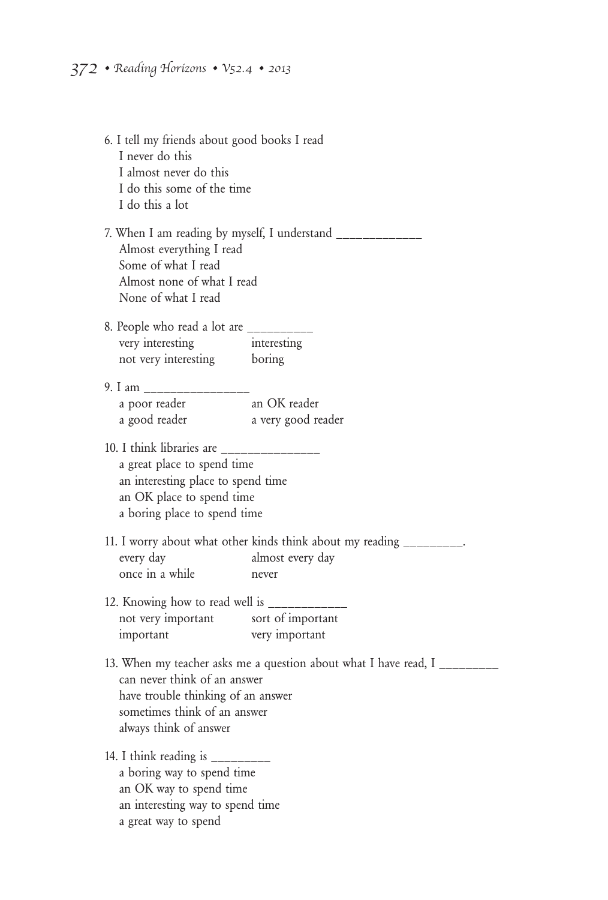| 6. I tell my friends about good books I read<br>I never do this<br>I almost never do this<br>I do this some of the time<br>I do this a lot                |                                                                        |  |
|-----------------------------------------------------------------------------------------------------------------------------------------------------------|------------------------------------------------------------------------|--|
| Almost everything I read<br>Some of what I read<br>Almost none of what I read<br>None of what I read                                                      | 7. When I am reading by myself, I understand __________                |  |
| 8. People who read a lot are ________                                                                                                                     |                                                                        |  |
| very interesting                                                                                                                                          | interesting                                                            |  |
| not very interesting boring                                                                                                                               |                                                                        |  |
|                                                                                                                                                           |                                                                        |  |
| a poor reader                                                                                                                                             | an OK reader                                                           |  |
| a good reader                                                                                                                                             | a very good reader                                                     |  |
|                                                                                                                                                           |                                                                        |  |
| 10. I think libraries are _____<br>a great place to spend time                                                                                            |                                                                        |  |
| an interesting place to spend time                                                                                                                        |                                                                        |  |
| an OK place to spend time<br>a boring place to spend time                                                                                                 |                                                                        |  |
|                                                                                                                                                           |                                                                        |  |
|                                                                                                                                                           | 11. I worry about what other kinds think about my reading ________     |  |
| every day                                                                                                                                                 | almost every day                                                       |  |
| once in a while                                                                                                                                           | never                                                                  |  |
| 12. Knowing how to read well is ____________                                                                                                              |                                                                        |  |
| not very important sort of important                                                                                                                      |                                                                        |  |
| important                                                                                                                                                 | very important                                                         |  |
| can never think of an answer<br>have trouble thinking of an answer<br>sometimes think of an answer<br>always think of answer                              | 13. When my teacher asks me a question about what I have read, I _____ |  |
| 14. I think reading is $\frac{1}{1}$<br>a boring way to spend time<br>an OK way to spend time<br>an interesting way to spend time<br>a great way to spend |                                                                        |  |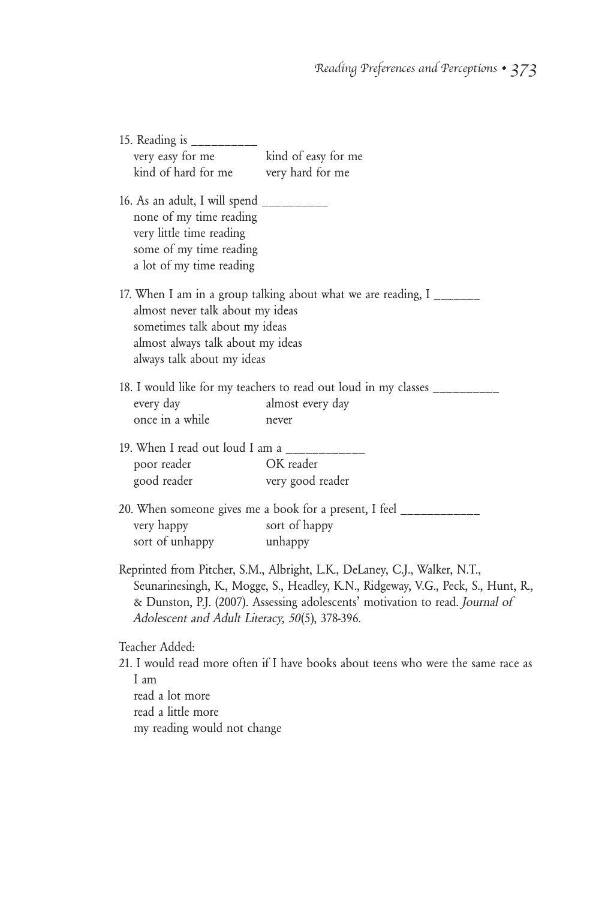| 15. Reading is ___________<br>very easy for me<br>kind of hard for me                                                                                  | kind of easy for me<br>very hard for me                                                                                                                                                                                                          |
|--------------------------------------------------------------------------------------------------------------------------------------------------------|--------------------------------------------------------------------------------------------------------------------------------------------------------------------------------------------------------------------------------------------------|
| 16. As an adult, I will spend __________<br>none of my time reading<br>very little time reading<br>some of my time reading<br>a lot of my time reading |                                                                                                                                                                                                                                                  |
| almost never talk about my ideas<br>sometimes talk about my ideas<br>almost always talk about my ideas<br>always talk about my ideas                   | 17. When I am in a group talking about what we are reading, I _______                                                                                                                                                                            |
| every day<br>once in a while                                                                                                                           | 18. I would like for my teachers to read out loud in my classes _________<br>almost every day<br>never                                                                                                                                           |
| 19. When I read out loud I am a __________<br>poor reader<br>good reader                                                                               | OK reader<br>very good reader                                                                                                                                                                                                                    |
| very happy<br>sort of unhappy                                                                                                                          | 20. When someone gives me a book for a present, I feel ____________<br>sort of happy<br>unhappy                                                                                                                                                  |
| Adolescent and Adult Literacy, 50(5), 378-396.                                                                                                         | Reprinted from Pitcher, S.M., Albright, L.K., DeLaney, C.J., Walker, N.T.,<br>Seunarinesingh, K., Mogge, S., Headley, K.N., Ridgeway, V.G., Peck, S., Hunt, R.,<br>& Dunston, P.J. (2007). Assessing adolescents' motivation to read. Journal of |
| Teacher Added:<br>I am<br>read a lot more<br>read a little more                                                                                        | 21. I would read more often if I have books about teens who were the same race as                                                                                                                                                                |

my reading would not change